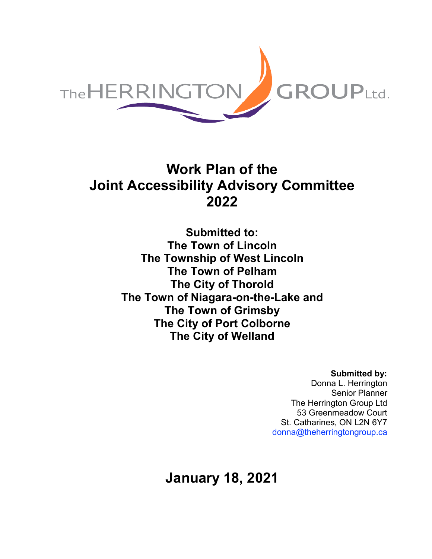

## **Work Plan of the Joint Accessibility Advisory Committee 2022**

**Submitted to: The Town of Lincoln The Township of West Lincoln The Town of Pelham The City of Thorold The Town of Niagara-on-the-Lake and The Town of Grimsby The City of Port Colborne The City of Welland**

## **Submitted by:**

Donna L. Herrington Senior Planner The Herrington Group Ltd 53 Greenmeadow Court St. Catharines, ON L2N 6Y7 [donna@theherringtongroup.ca](mailto:donna@theherringtongroup.ca)

**January 18, 2021**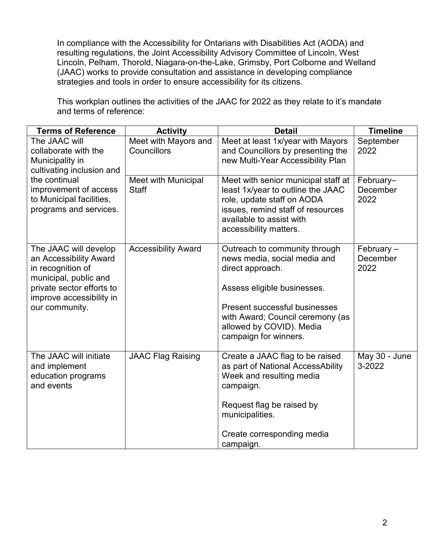In compliance with the Accessibility for Ontarians with Disabilities Act (AODA) and resulting regulations, the Joint Accessibility Advisory Committee of Lincoln, West Lincoln, Pelham, Thorold, Niagara-on-the-Lake, Grimsby, Port Colborne and Welland (JAAC) works to provide consultation and assistance in developing compliance strategies and tools in order to ensure accessibility for its citizens.

This workplan outlines the activities of the JAAC for 2022 as they relate to it's mandate and terms of reference:

| <b>Terms of Reference</b>                                                                                                                                                             | <b>Activity</b>                     | <b>Detail</b>                                                                                                                                                                                                                                     | <b>Timeline</b>                  |
|---------------------------------------------------------------------------------------------------------------------------------------------------------------------------------------|-------------------------------------|---------------------------------------------------------------------------------------------------------------------------------------------------------------------------------------------------------------------------------------------------|----------------------------------|
| The JAAC will<br>collaborate with the<br>Municipality in<br>cultivating inclusion and<br>the continual<br>improvement of access<br>to Municipal facilities,<br>programs and services. | Meet with Mayors and<br>Councillors | Meet at least 1x/year with Mayors<br>and Councillors by presenting the<br>new Multi-Year Accessibility Plan                                                                                                                                       | September<br>2022                |
|                                                                                                                                                                                       | Meet with Municipal<br><b>Staff</b> | Meet with senior municipal staff at<br>least 1x/year to outline the JAAC<br>role, update staff on AODA<br>issues, remind staff of resources<br>available to assist with<br>accessibility matters.                                                 | February-<br>December<br>2022    |
| The JAAC will develop<br>an Accessibility Award<br>in recognition of<br>municipal, public and<br>private sector efforts to<br>improve accessibility in<br>our community.              | <b>Accessibility Award</b>          | Outreach to community through<br>news media, social media and<br>direct approach.<br>Assess eligible businesses.<br><b>Present successful businesses</b><br>with Award; Council ceremony (as<br>allowed by COVID). Media<br>campaign for winners. | February $-$<br>December<br>2022 |
| The JAAC will initiate<br>and implement<br>education programs<br>and events                                                                                                           | <b>JAAC Flag Raising</b>            | Create a JAAC flag to be raised<br>as part of National AccessAbility<br>Week and resulting media<br>campaign.<br>Request flag be raised by<br>municipalities.<br>Create corresponding media<br>campaign.                                          | May 30 - June<br>3-2022          |